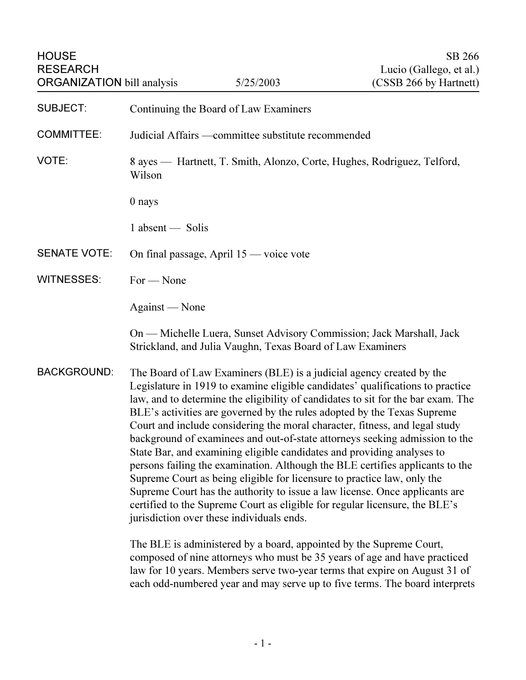| <b>HOUSE</b><br><b>RESEARCH</b><br><b>ORGANIZATION</b> bill analysis |                                                                                                                                                                                                                                                                                                                                                                                                                                                                                                                                                                                                                                                                                                                                                                                                                                                                                                                                      | 5/25/2003 | SB 266<br>Lucio (Gallego, et al.)<br>(CSSB 266 by Hartnett) |
|----------------------------------------------------------------------|--------------------------------------------------------------------------------------------------------------------------------------------------------------------------------------------------------------------------------------------------------------------------------------------------------------------------------------------------------------------------------------------------------------------------------------------------------------------------------------------------------------------------------------------------------------------------------------------------------------------------------------------------------------------------------------------------------------------------------------------------------------------------------------------------------------------------------------------------------------------------------------------------------------------------------------|-----------|-------------------------------------------------------------|
| <b>SUBJECT:</b>                                                      | Continuing the Board of Law Examiners                                                                                                                                                                                                                                                                                                                                                                                                                                                                                                                                                                                                                                                                                                                                                                                                                                                                                                |           |                                                             |
| <b>COMMITTEE:</b>                                                    | Judicial Affairs —committee substitute recommended                                                                                                                                                                                                                                                                                                                                                                                                                                                                                                                                                                                                                                                                                                                                                                                                                                                                                   |           |                                                             |
| VOTE:                                                                | 8 ayes — Hartnett, T. Smith, Alonzo, Corte, Hughes, Rodriguez, Telford,<br>Wilson                                                                                                                                                                                                                                                                                                                                                                                                                                                                                                                                                                                                                                                                                                                                                                                                                                                    |           |                                                             |
|                                                                      | 0 nays                                                                                                                                                                                                                                                                                                                                                                                                                                                                                                                                                                                                                                                                                                                                                                                                                                                                                                                               |           |                                                             |
|                                                                      | $1$ absent $-$ Solis                                                                                                                                                                                                                                                                                                                                                                                                                                                                                                                                                                                                                                                                                                                                                                                                                                                                                                                 |           |                                                             |
| <b>SENATE VOTE:</b>                                                  | On final passage, April 15 — voice vote                                                                                                                                                                                                                                                                                                                                                                                                                                                                                                                                                                                                                                                                                                                                                                                                                                                                                              |           |                                                             |
| <b>WITNESSES:</b>                                                    | $For - None$                                                                                                                                                                                                                                                                                                                                                                                                                                                                                                                                                                                                                                                                                                                                                                                                                                                                                                                         |           |                                                             |
|                                                                      | Against — None                                                                                                                                                                                                                                                                                                                                                                                                                                                                                                                                                                                                                                                                                                                                                                                                                                                                                                                       |           |                                                             |
|                                                                      | On — Michelle Luera, Sunset Advisory Commission; Jack Marshall, Jack<br>Strickland, and Julia Vaughn, Texas Board of Law Examiners                                                                                                                                                                                                                                                                                                                                                                                                                                                                                                                                                                                                                                                                                                                                                                                                   |           |                                                             |
| <b>BACKGROUND:</b>                                                   | The Board of Law Examiners (BLE) is a judicial agency created by the<br>Legislature in 1919 to examine eligible candidates' qualifications to practice<br>law, and to determine the eligibility of candidates to sit for the bar exam. The<br>BLE's activities are governed by the rules adopted by the Texas Supreme<br>Court and include considering the moral character, fitness, and legal study<br>background of examinees and out-of-state attorneys seeking admission to the<br>State Bar, and examining eligible candidates and providing analyses to<br>persons failing the examination. Although the BLE certifies applicants to the<br>Supreme Court as being eligible for licensure to practice law, only the<br>Supreme Court has the authority to issue a law license. Once applicants are<br>certified to the Supreme Court as eligible for regular licensure, the BLE's<br>jurisdiction over these individuals ends. |           |                                                             |
|                                                                      | The BLE is administered by a board, appointed by the Supreme Court,<br>composed of nine attorneys who must be 35 years of age and have practiced<br>law for 10 years. Members serve two-year terms that expire on August 31 of<br>each odd-numbered year and may serve up to five terms. The board interprets                                                                                                                                                                                                                                                                                                                                                                                                                                                                                                                                                                                                                        |           |                                                             |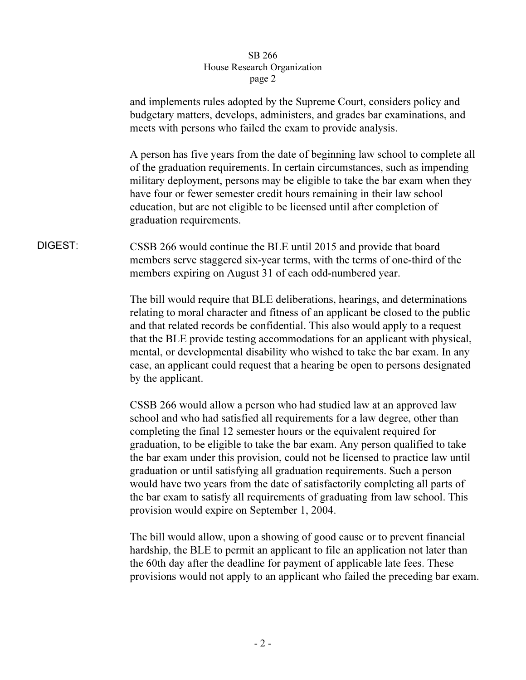## SB 266 House Research Organization page 2  $r^{2}$

and implements rules adopted by the Supreme Court, considers policy and budgetary matters, develops, administers, and grades bar examinations, and meets with persons who failed the exam to provide analysis.

A person has five years from the date of beginning law school to complete all of the graduation requirements. In certain circumstances, such as impending military deployment, persons may be eligible to take the bar exam when they have four or fewer semester credit hours remaining in their law school education, but are not eligible to be licensed until after completion of graduation requirements.

DIGEST: CSSB 266 would continue the BLE until 2015 and provide that board members serve staggered six-year terms, with the terms of one-third of the members expiring on August 31 of each odd-numbered year.

> The bill would require that BLE deliberations, hearings, and determinations relating to moral character and fitness of an applicant be closed to the public and that related records be confidential. This also would apply to a request that the BLE provide testing accommodations for an applicant with physical, mental, or developmental disability who wished to take the bar exam. In any case, an applicant could request that a hearing be open to persons designated by the applicant.

> CSSB 266 would allow a person who had studied law at an approved law school and who had satisfied all requirements for a law degree, other than completing the final 12 semester hours or the equivalent required for graduation, to be eligible to take the bar exam. Any person qualified to take the bar exam under this provision, could not be licensed to practice law until graduation or until satisfying all graduation requirements. Such a person would have two years from the date of satisfactorily completing all parts of the bar exam to satisfy all requirements of graduating from law school. This provision would expire on September 1, 2004.

The bill would allow, upon a showing of good cause or to prevent financial hardship, the BLE to permit an applicant to file an application not later than the 60th day after the deadline for payment of applicable late fees. These provisions would not apply to an applicant who failed the preceding bar exam.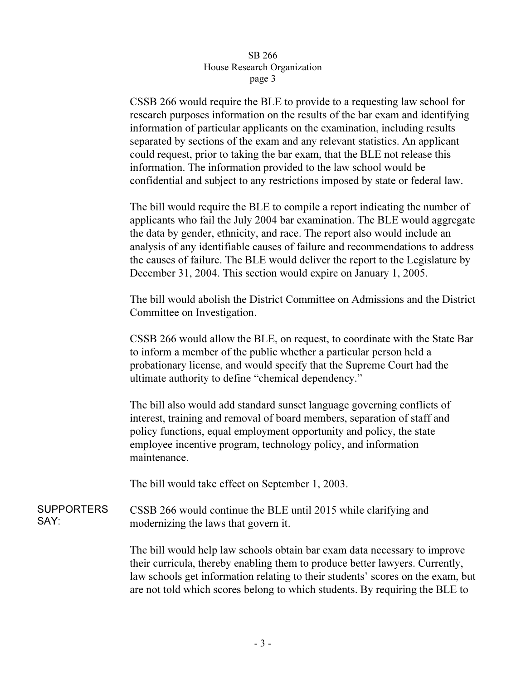## SB 266 House Research Organization page 3  $\mathbf{r}$   $\mathbf{r}$   $\mathbf{s}$   $\mathbf{r}$   $\mathbf{s}$

CSSB 266 would require the BLE to provide to a requesting law school for research purposes information on the results of the bar exam and identifying information of particular applicants on the examination, including results separated by sections of the exam and any relevant statistics. An applicant could request, prior to taking the bar exam, that the BLE not release this information. The information provided to the law school would be confidential and subject to any restrictions imposed by state or federal law.

The bill would require the BLE to compile a report indicating the number of applicants who fail the July 2004 bar examination. The BLE would aggregate the data by gender, ethnicity, and race. The report also would include an analysis of any identifiable causes of failure and recommendations to address the causes of failure. The BLE would deliver the report to the Legislature by December 31, 2004. This section would expire on January 1, 2005.

The bill would abolish the District Committee on Admissions and the District Committee on Investigation.

CSSB 266 would allow the BLE, on request, to coordinate with the State Bar to inform a member of the public whether a particular person held a probationary license, and would specify that the Supreme Court had the ultimate authority to define "chemical dependency."

The bill also would add standard sunset language governing conflicts of interest, training and removal of board members, separation of staff and policy functions, equal employment opportunity and policy, the state employee incentive program, technology policy, and information maintenance.

The bill would take effect on September 1, 2003.

SUPPORTERS SAY: CSSB 266 would continue the BLE until 2015 while clarifying and modernizing the laws that govern it.

> The bill would help law schools obtain bar exam data necessary to improve their curricula, thereby enabling them to produce better lawyers. Currently, law schools get information relating to their students' scores on the exam, but are not told which scores belong to which students. By requiring the BLE to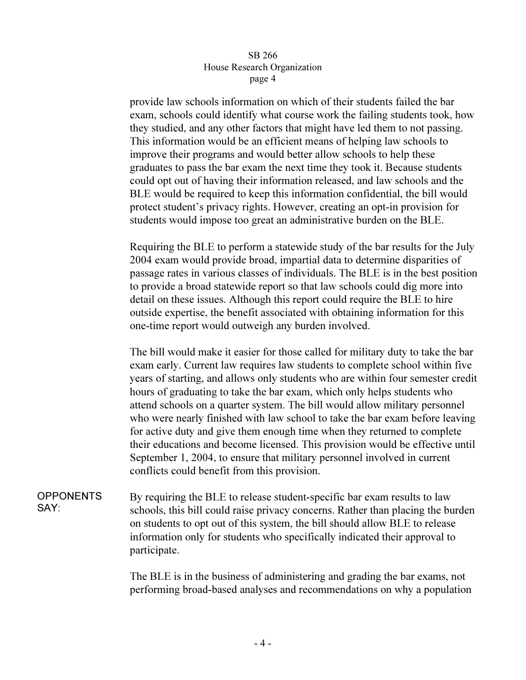## SB 266 House Research Organization page 4  $\mathbf{r}^{\mu}$ ge  $\mathbf{r}$

provide law schools information on which of their students failed the bar exam, schools could identify what course work the failing students took, how they studied, and any other factors that might have led them to not passing. This information would be an efficient means of helping law schools to improve their programs and would better allow schools to help these graduates to pass the bar exam the next time they took it. Because students could opt out of having their information released, and law schools and the BLE would be required to keep this information confidential, the bill would protect student's privacy rights. However, creating an opt-in provision for students would impose too great an administrative burden on the BLE.

Requiring the BLE to perform a statewide study of the bar results for the July 2004 exam would provide broad, impartial data to determine disparities of passage rates in various classes of individuals. The BLE is in the best position to provide a broad statewide report so that law schools could dig more into detail on these issues. Although this report could require the BLE to hire outside expertise, the benefit associated with obtaining information for this one-time report would outweigh any burden involved.

The bill would make it easier for those called for military duty to take the bar exam early. Current law requires law students to complete school within five years of starting, and allows only students who are within four semester credit hours of graduating to take the bar exam, which only helps students who attend schools on a quarter system. The bill would allow military personnel who were nearly finished with law school to take the bar exam before leaving for active duty and give them enough time when they returned to complete their educations and become licensed. This provision would be effective until September 1, 2004, to ensure that military personnel involved in current conflicts could benefit from this provision.

**OPPONENTS** SAY: By requiring the BLE to release student-specific bar exam results to law schools, this bill could raise privacy concerns. Rather than placing the burden on students to opt out of this system, the bill should allow BLE to release information only for students who specifically indicated their approval to participate.

> The BLE is in the business of administering and grading the bar exams, not performing broad-based analyses and recommendations on why a population